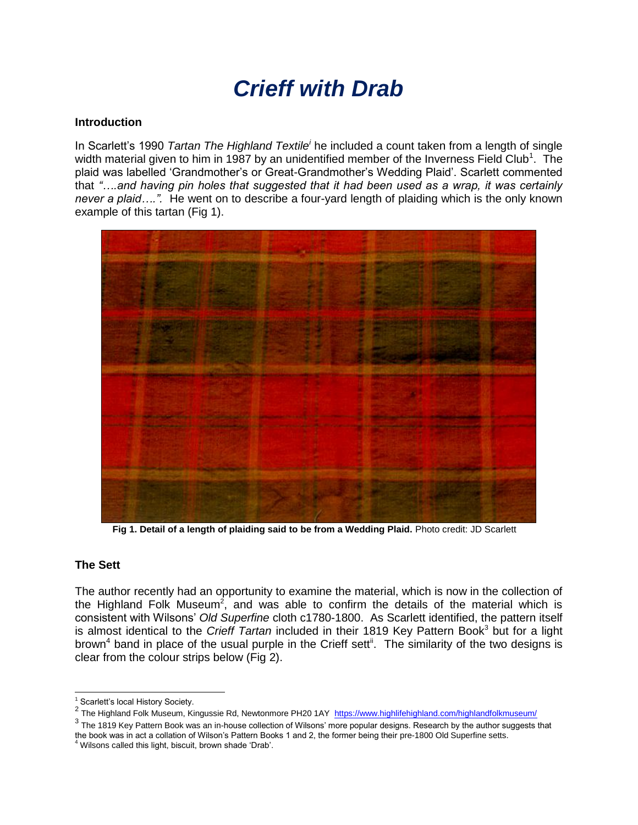# *Crieff with Drab*

#### **Introduction**

In Scarlett's 1990 *Tartan The Highland Textile<sup>i</sup>* he included a count taken from a length of single width material given to him in 1987 by an unidentified member of the Inverness Field Club<sup>1</sup>. The plaid was labelled 'Grandmother's or Great-Grandmother's Wedding Plaid'. Scarlett commented that *"….and having pin holes that suggested that it had been used as a wrap, it was certainly never a plaid….".* He went on to describe a four-yard length of plaiding which is the only known example of this tartan (Fig 1).



**Fig 1. Detail of a length of plaiding said to be from a Wedding Plaid.** Photo credit: JD Scarlett

#### **The Sett**

The author recently had an opportunity to examine the material, which is now in the collection of the Highland Folk Museum<sup>2</sup>, and was able to confirm the details of the material which is consistent with Wilsons' *Old Superfine* cloth c1780-1800. As Scarlett identified, the pattern itself is almost identical to the *Crieff Tartan* included in their 1819 Key Pattern Book<sup>3</sup> but for a light brown<sup>4</sup> band in place of the usual purple in the Crieff sett<sup>ii</sup>. The similarity of the two designs is clear from the colour strips below (Fig 2).

 $\overline{a}$ <sup>1</sup> Scarlett's local History Society.

<sup>&</sup>lt;sup>2</sup> The Highland Folk Museum, Kingussie Rd, Newtonmore PH20 1AY <https://www.highlifehighland.com/highlandfolkmuseum/>

<sup>&</sup>lt;sup>3</sup> The 1819 Key Pattern Book was an in-house collection of Wilsons' more popular designs. Research by the author suggests that the book was in act a collation of Wilson's Pattern Books 1 and 2, the former being their pre-1800 Old Superfine setts.

<sup>&</sup>lt;sup>4</sup> Wilsons called this light, biscuit, brown shade 'Drab'.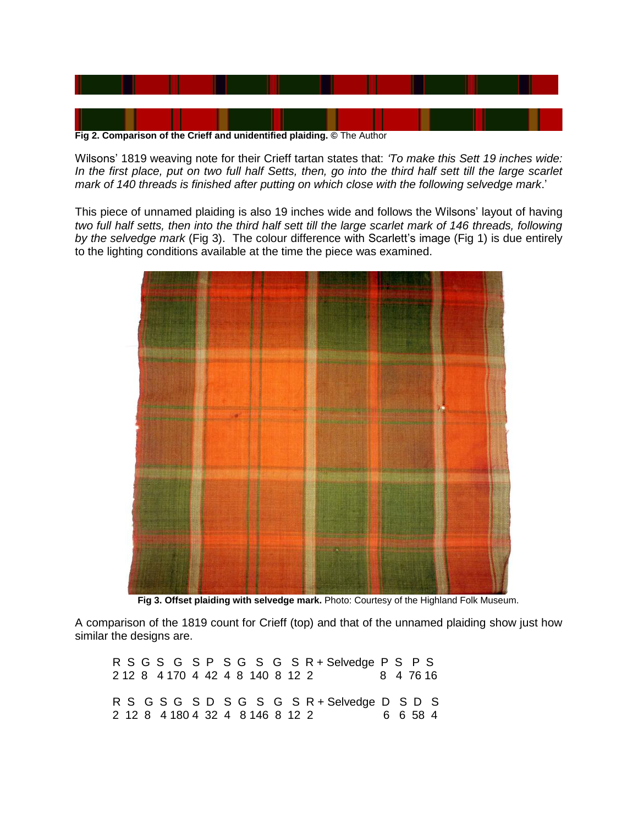

Wilsons' 1819 weaving note for their Crieff tartan states that: *'To make this Sett 19 inches wide: In the first place, put on two full half Setts, then, go into the third half sett till the large scarlet mark of 140 threads is finished after putting on which close with the following selvedge mark*.'

This piece of unnamed plaiding is also 19 inches wide and follows the Wilsons' layout of having *two full half setts, then into the third half sett till the large scarlet mark of 146 threads, following by the selvedge mark* (Fig 3). The colour difference with Scarlett's image (Fig 1) is due entirely to the lighting conditions available at the time the piece was examined.



 **Fig 3. Offset plaiding with selvedge mark.** Photo: Courtesy of the Highland Folk Museum.

A comparison of the 1819 count for Crieff (top) and that of the unnamed plaiding show just how similar the designs are.

R S G S G S P S G S G S R + Selvedge P S P S 2 12 8 4 170 4 42 4 8 140 8 12 2 8 4 76 16 R S G S G S D S G S G S R + Selvedge D S D S 2 12 8 4 180 4 32 4 8 146 8 12 2 6 6 58 4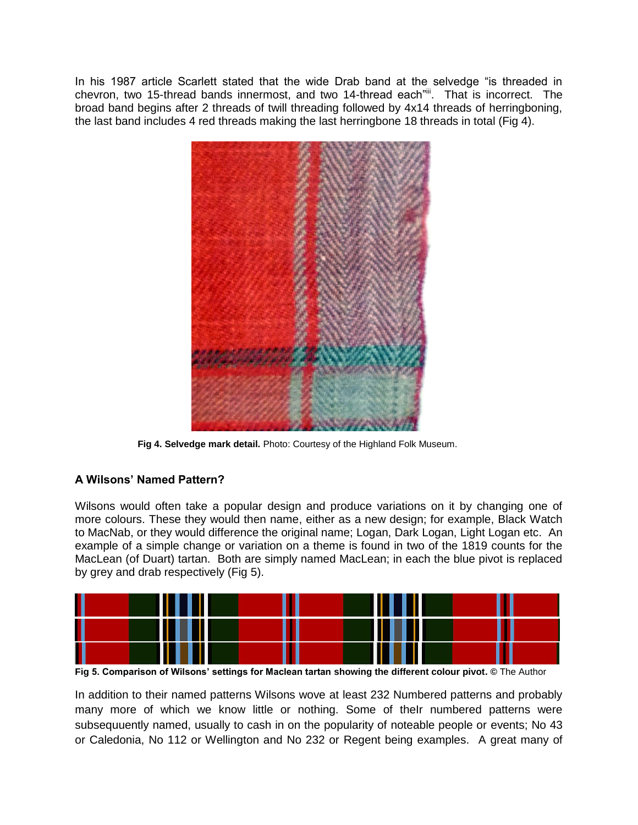In his 1987 article Scarlett stated that the wide Drab band at the selvedge "is threaded in chevron, two 15-thread bands innermost, and two 14-thread each"<sup>ii</sup>. That is incorrect. The broad band begins after 2 threads of twill threading followed by 4x14 threads of herringboning, the last band includes 4 red threads making the last herringbone 18 threads in total (Fig 4).



 **Fig 4. Selvedge mark detail.** Photo: Courtesy of the Highland Folk Museum.

## **A Wilsons' Named Pattern?**

Wilsons would often take a popular design and produce variations on it by changing one of more colours. These they would then name, either as a new design; for example, Black Watch to MacNab, or they would difference the original name; Logan, Dark Logan, Light Logan etc. An example of a simple change or variation on a theme is found in two of the 1819 counts for the MacLean (of Duart) tartan. Both are simply named MacLean; in each the blue pivot is replaced by grey and drab respectively (Fig 5).



**Fig 5. Comparison of Wilsons' settings for Maclean tartan showing the different colour pivot. ©** The Author

In addition to their named patterns Wilsons wove at least 232 Numbered patterns and probably many more of which we know little or nothing. Some of theIr numbered patterns were subsequuently named, usually to cash in on the popularity of noteable people or events; No 43 or Caledonia, No 112 or Wellington and No 232 or Regent being examples. A great many of